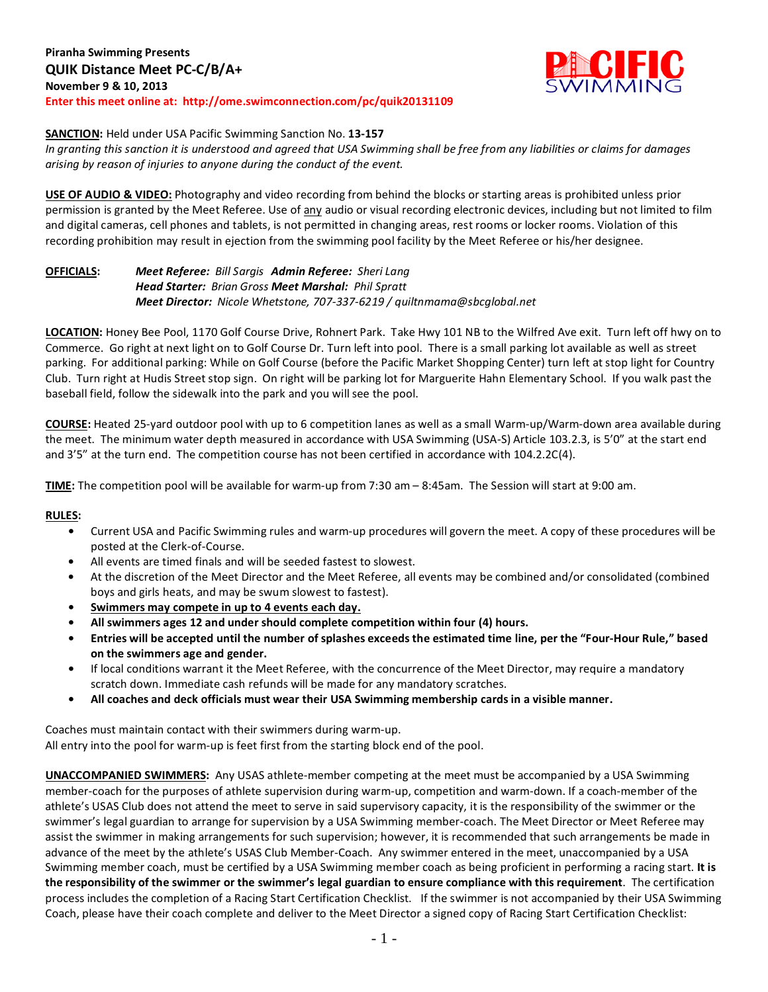

#### **SANCTION:** Held under USA Pacific Swimming Sanction No. **13-157**

*In granting this sanction it is understood and agreed that USA Swimming shall be free from any liabilities or claims for damages arising by reason of injuries to anyone during the conduct of the event.*

**USE OF AUDIO & VIDEO:** Photography and video recording from behind the blocks or starting areas is prohibited unless prior permission is granted by the Meet Referee. Use of any audio or visual recording electronic devices, including but not limited to film and digital cameras, cell phones and tablets, is not permitted in changing areas, rest rooms or locker rooms. Violation of this recording prohibition may result in ejection from the swimming pool facility by the Meet Referee or his/her designee.

## **OFFICIALS:** *Meet Referee: Bill Sargis Admin Referee: Sheri Lang Head Starter: Brian Gross Meet Marshal: Phil Spratt Meet Director: Nicole Whetstone, 707-337-6219 / quiltnmama@sbcglobal.net*

**LOCATION:** Honey Bee Pool, 1170 Golf Course Drive, Rohnert Park. Take Hwy 101 NB to the Wilfred Ave exit. Turn left off hwy on to Commerce. Go right at next light on to Golf Course Dr. Turn left into pool. There is a small parking lot available as well as street parking. For additional parking: While on Golf Course (before the Pacific Market Shopping Center) turn left at stop light for Country Club. Turn right at Hudis Street stop sign. On right will be parking lot for Marguerite Hahn Elementary School. If you walk past the baseball field, follow the sidewalk into the park and you will see the pool.

**COURSE:** Heated 25-yard outdoor pool with up to 6 competition lanes as well as a small Warm-up/Warm-down area available during the meet. The minimum water depth measured in accordance with USA Swimming (USA-S) Article 103.2.3, is 5'0" at the start end and 3'5" at the turn end. The competition course has not been certified in accordance with 104.2.2C(4).

**TIME:** The competition pool will be available for warm-up from 7:30 am – 8:45am. The Session will start at 9:00 am.

#### **RULES:**

- **•** Current USA and Pacific Swimming rules and warm-up procedures will govern the meet. A copy of these procedures will be posted at the Clerk-of-Course.
- **•** All events are timed finals and will be seeded fastest to slowest.
- **•** At the discretion of the Meet Director and the Meet Referee, all events may be combined and/or consolidated (combined boys and girls heats, and may be swum slowest to fastest).
- **• Swimmers may compete in up to 4 events each day.**
- **• All swimmers ages 12 and under should complete competition within four (4) hours.**
- **• Entries will be accepted until the number of splashes exceeds the estimated time line, per the "Four-Hour Rule," based on the swimmers age and gender.**
- **•** If local conditions warrant it the Meet Referee, with the concurrence of the Meet Director, may require a mandatory scratch down. Immediate cash refunds will be made for any mandatory scratches.
- **• All coaches and deck officials must wear their USA Swimming membership cards in a visible manner.**

Coaches must maintain contact with their swimmers during warm-up. All entry into the pool for warm-up is feet first from the starting block end of the pool.

**UNACCOMPANIED SWIMMERS:** Any USAS athlete-member competing at the meet must be accompanied by a USA Swimming member-coach for the purposes of athlete supervision during warm-up, competition and warm-down. If a coach-member of the athlete's USAS Club does not attend the meet to serve in said supervisory capacity, it is the responsibility of the swimmer or the swimmer's legal guardian to arrange for supervision by a USA Swimming member-coach. The Meet Director or Meet Referee may assist the swimmer in making arrangements for such supervision; however, it is recommended that such arrangements be made in advance of the meet by the athlete's USAS Club Member-Coach. Any swimmer entered in the meet, unaccompanied by a USA Swimming member coach, must be certified by a USA Swimming member coach as being proficient in performing a racing start. **It is the responsibility of the swimmer or the swimmer's legal guardian to ensure compliance with this requirement**. The certification process includes the completion of a Racing Start Certification Checklist. If the swimmer is not accompanied by their USA Swimming Coach, please have their coach complete and deliver to the Meet Director a signed copy of Racing Start Certification Checklist: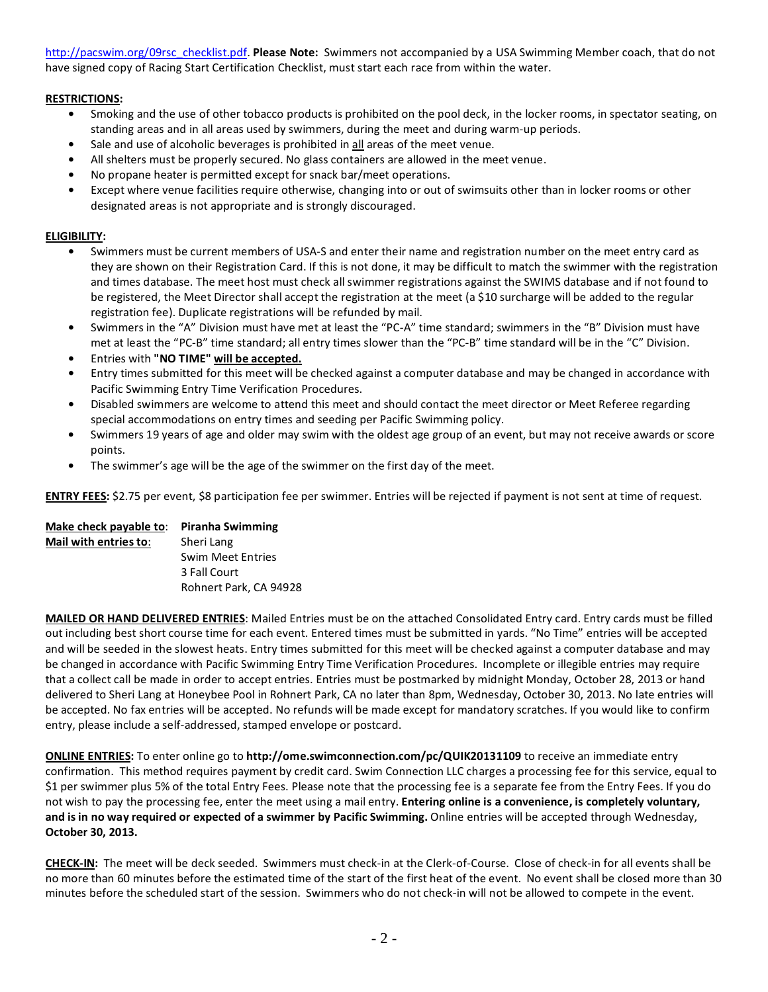[http://pacswim.org/09rsc\\_checklist.pdf.](http://pacswim.org/09rsc_checklist.pdf) **Please Note:** Swimmers not accompanied by a USA Swimming Member coach, that do not have signed copy of Racing Start Certification Checklist, must start each race from within the water.

# **RESTRICTIONS:**

- **•** Smoking and the use of other tobacco products is prohibited on the pool deck, in the locker rooms, in spectator seating, on standing areas and in all areas used by swimmers, during the meet and during warm-up periods.
- **•** Sale and use of alcoholic beverages is prohibited in all areas of the meet venue.
- **•** All shelters must be properly secured. No glass containers are allowed in the meet venue.
- **•** No propane heater is permitted except for snack bar/meet operations.
- **•** Except where venue facilities require otherwise, changing into or out of swimsuits other than in locker rooms or other designated areas is not appropriate and is strongly discouraged.

# **ELIGIBILITY:**

- **•** Swimmers must be current members of USA-S and enter their name and registration number on the meet entry card as they are shown on their Registration Card. If this is not done, it may be difficult to match the swimmer with the registration and times database. The meet host must check all swimmer registrations against the SWIMS database and if not found to be registered, the Meet Director shall accept the registration at the meet (a \$10 surcharge will be added to the regular registration fee). Duplicate registrations will be refunded by mail.
- **•** Swimmers in the "A" Division must have met at least the "PC-A" time standard; swimmers in the "B" Division must have met at least the "PC-B" time standard; all entry times slower than the "PC-B" time standard will be in the "C" Division.
- **•** Entries with **"NO TIME" will be accepted.**
- **•** Entry times submitted for this meet will be checked against a computer database and may be changed in accordance with Pacific Swimming Entry Time Verification Procedures.
- **•** Disabled swimmers are welcome to attend this meet and should contact the meet director or Meet Referee regarding special accommodations on entry times and seeding per Pacific Swimming policy.
- **•** Swimmers 19 years of age and older may swim with the oldest age group of an event, but may not receive awards or score points.
- **•** The swimmer's age will be the age of the swimmer on the first day of the meet.

**ENTRY FEES:** \$2.75 per event, \$8 participation fee per swimmer. Entries will be rejected if payment is not sent at time of request.

# **Make check payable to**: **Piranha Swimming**

**Mail with entries to**: Sheri Lang Swim Meet Entries 3 Fall Court Rohnert Park, CA 94928

**MAILED OR HAND DELIVERED ENTRIES**: Mailed Entries must be on the attached Consolidated Entry card. Entry cards must be filled out including best short course time for each event. Entered times must be submitted in yards. "No Time" entries will be accepted and will be seeded in the slowest heats. Entry times submitted for this meet will be checked against a computer database and may be changed in accordance with Pacific Swimming Entry Time Verification Procedures. Incomplete or illegible entries may require that a collect call be made in order to accept entries. Entries must be postmarked by midnight Monday, October 28, 2013 or hand delivered to Sheri Lang at Honeybee Pool in Rohnert Park, CA no later than 8pm, Wednesday, October 30, 2013. No late entries will be accepted. No fax entries will be accepted. No refunds will be made except for mandatory scratches. If you would like to confirm entry, please include a self-addressed, stamped envelope or postcard.

**ONLINE ENTRIES:** To enter online go to **http://ome.swimconnection.com/pc/QUIK20131109** to receive an immediate entry confirmation. This method requires payment by credit card. Swim Connection LLC charges a processing fee for this service, equal to \$1 per swimmer plus 5% of the total Entry Fees. Please note that the processing fee is a separate fee from the Entry Fees. If you do not wish to pay the processing fee, enter the meet using a mail entry. **Entering online is a convenience, is completely voluntary, and is in no way required or expected of a swimmer by Pacific Swimming.** Online entries will be accepted through Wednesday, **October 30, 2013.**

**CHECK-IN:** The meet will be deck seeded. Swimmers must check-in at the Clerk-of-Course. Close of check-in for all events shall be no more than 60 minutes before the estimated time of the start of the first heat of the event. No event shall be closed more than 30 minutes before the scheduled start of the session. Swimmers who do not check-in will not be allowed to compete in the event.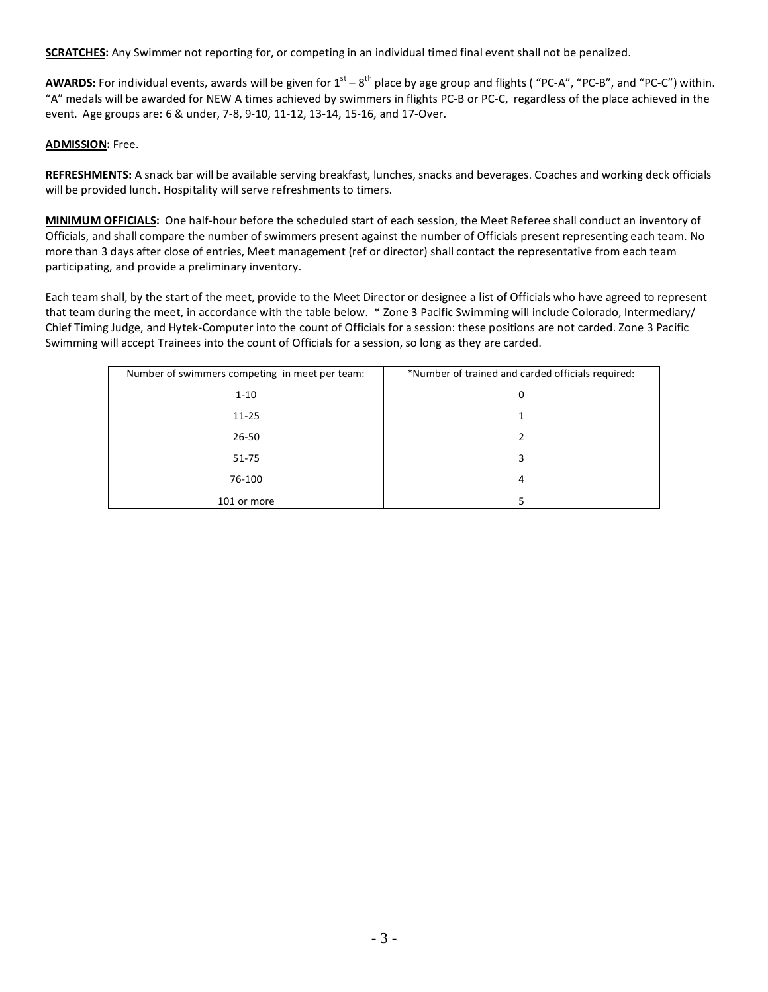**SCRATCHES:** Any Swimmer not reporting for, or competing in an individual timed final event shall not be penalized.

AWARDS: For individual events, awards will be given for 1<sup>st</sup> – 8<sup>th</sup> place by age group and flights ("PC-A", "PC-B", and "PC-C") within. "A" medals will be awarded for NEW A times achieved by swimmers in flights PC-B or PC-C, regardless of the place achieved in the event. Age groups are: 6 & under, 7-8, 9-10, 11-12, 13-14, 15-16, and 17-Over.

#### **ADMISSION:** Free.

**REFRESHMENTS:** A snack bar will be available serving breakfast, lunches, snacks and beverages. Coaches and working deck officials will be provided lunch. Hospitality will serve refreshments to timers.

**MINIMUM OFFICIALS:** One half-hour before the scheduled start of each session, the Meet Referee shall conduct an inventory of Officials, and shall compare the number of swimmers present against the number of Officials present representing each team. No more than 3 days after close of entries, Meet management (ref or director) shall contact the representative from each team participating, and provide a preliminary inventory.

Each team shall, by the start of the meet, provide to the Meet Director or designee a list of Officials who have agreed to represent that team during the meet, in accordance with the table below. \* Zone 3 Pacific Swimming will include Colorado, Intermediary/ Chief Timing Judge, and Hytek-Computer into the count of Officials for a session: these positions are not carded. Zone 3 Pacific Swimming will accept Trainees into the count of Officials for a session, so long as they are carded.

| Number of swimmers competing in meet per team: | *Number of trained and carded officials required: |
|------------------------------------------------|---------------------------------------------------|
| $1 - 10$                                       | 0                                                 |
| $11 - 25$                                      |                                                   |
| $26 - 50$                                      | 2                                                 |
| $51 - 75$                                      | 3                                                 |
| 76-100                                         | 4                                                 |
| 101 or more                                    | 5                                                 |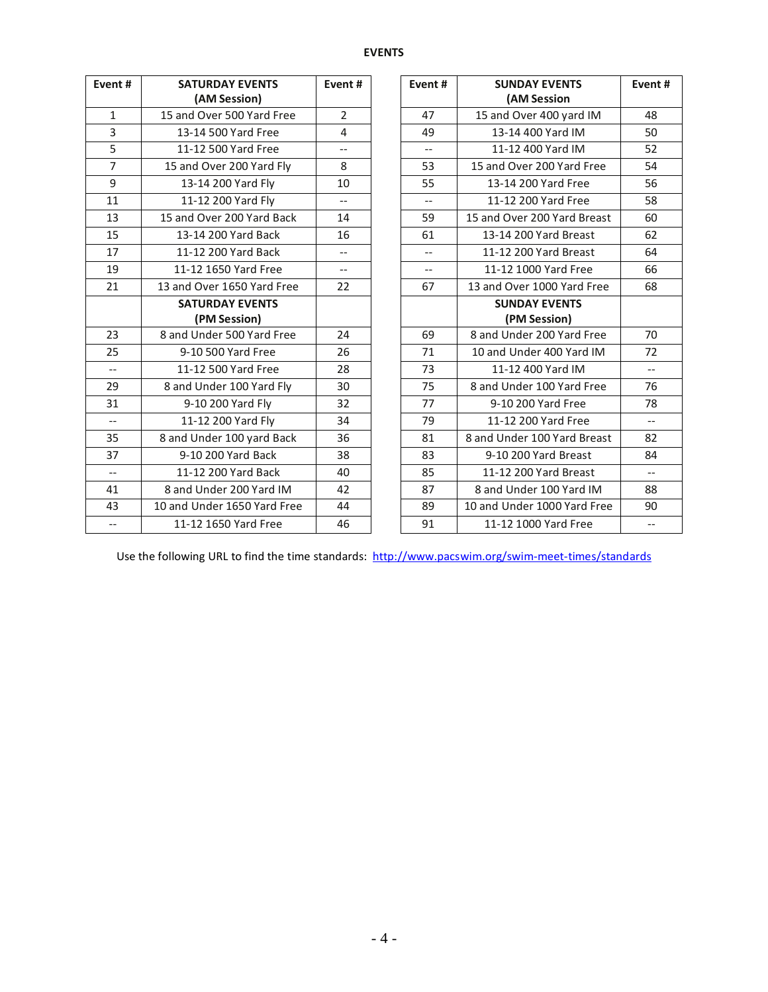## **EVENTS**

| Event#                   | <b>SATURDAY EVENTS</b>      | Event#                   | Event# |                          | <b>SUNDAY EVENTS</b>        | Event#                   |
|--------------------------|-----------------------------|--------------------------|--------|--------------------------|-----------------------------|--------------------------|
|                          | (AM Session)                |                          |        |                          | (AM Session                 |                          |
| $\mathbf{1}$             | 15 and Over 500 Yard Free   | $\overline{2}$           |        | 47                       | 15 and Over 400 yard IM     | 48                       |
| 3                        | 13-14 500 Yard Free         | $\overline{4}$           |        | 49                       | 13-14 400 Yard IM           | 50                       |
| 5                        | 11-12 500 Yard Free         | $-$                      |        | $\overline{\phantom{a}}$ | 11-12 400 Yard IM           | 52                       |
| $\overline{7}$           | 15 and Over 200 Yard Fly    | 8                        |        | 53                       | 15 and Over 200 Yard Free   | 54                       |
| 9                        | 13-14 200 Yard Fly          | 10                       |        | 55                       | 13-14 200 Yard Free         | 56                       |
| 11                       | 11-12 200 Yard Fly          | $\overline{\phantom{a}}$ |        | $-$                      | 11-12 200 Yard Free         | 58                       |
| 13                       | 15 and Over 200 Yard Back   | 14                       |        | 59                       | 15 and Over 200 Yard Breast | 60                       |
| 15                       | 13-14 200 Yard Back         | 16                       |        | 61                       | 13-14 200 Yard Breast       | 62                       |
| 17                       | 11-12 200 Yard Back         | $\qquad \qquad -$        |        | $-$                      | 11-12 200 Yard Breast       | 64                       |
| 19                       | 11-12 1650 Yard Free        | $\overline{\phantom{a}}$ |        | $\overline{\phantom{a}}$ | 11-12 1000 Yard Free        | 66                       |
| 21                       | 13 and Over 1650 Yard Free  | 22                       |        | 67                       | 13 and Over 1000 Yard Free  | 68                       |
|                          | <b>SATURDAY EVENTS</b>      |                          |        |                          | <b>SUNDAY EVENTS</b>        |                          |
|                          | (PM Session)                |                          |        |                          | (PM Session)                |                          |
| 23                       | 8 and Under 500 Yard Free   | 24                       |        | 69                       | 8 and Under 200 Yard Free   | 70                       |
| 25                       | 9-10 500 Yard Free          | 26                       |        | 71                       | 10 and Under 400 Yard IM    | 72                       |
| $\overline{\phantom{a}}$ | 11-12 500 Yard Free         | 28                       |        | 73                       | 11-12 400 Yard IM           | $\overline{\phantom{a}}$ |
| 29                       | 8 and Under 100 Yard Fly    | 30                       |        | 75                       | 8 and Under 100 Yard Free   | 76                       |
| 31                       | 9-10 200 Yard Fly           | 32                       |        | 77                       | 9-10 200 Yard Free          | 78                       |
| $-$                      | 11-12 200 Yard Fly          | 34                       |        | 79                       | 11-12 200 Yard Free         | $\qquad \qquad -$        |
| 35                       | 8 and Under 100 yard Back   | 36                       |        | 81                       | 8 and Under 100 Yard Breast | 82                       |
| 37                       | 9-10 200 Yard Back          | 38                       |        | 83                       | 9-10 200 Yard Breast        | 84                       |
| $\overline{\phantom{a}}$ | 11-12 200 Yard Back         | 40                       |        | 85                       | 11-12 200 Yard Breast       | $\overline{\phantom{a}}$ |
| 41                       | 8 and Under 200 Yard IM     | 42                       |        | 87                       | 8 and Under 100 Yard IM     | 88                       |
| 43                       | 10 and Under 1650 Yard Free | 44                       |        | 89                       | 10 and Under 1000 Yard Free | 90                       |
| $\overline{\phantom{m}}$ | 11-12 1650 Yard Free        | 46                       |        | 91                       | 11-12 1000 Yard Free        | $\overline{\phantom{m}}$ |

Use the following URL to find the time standards:<http://www.pacswim.org/swim-meet-times/standards>